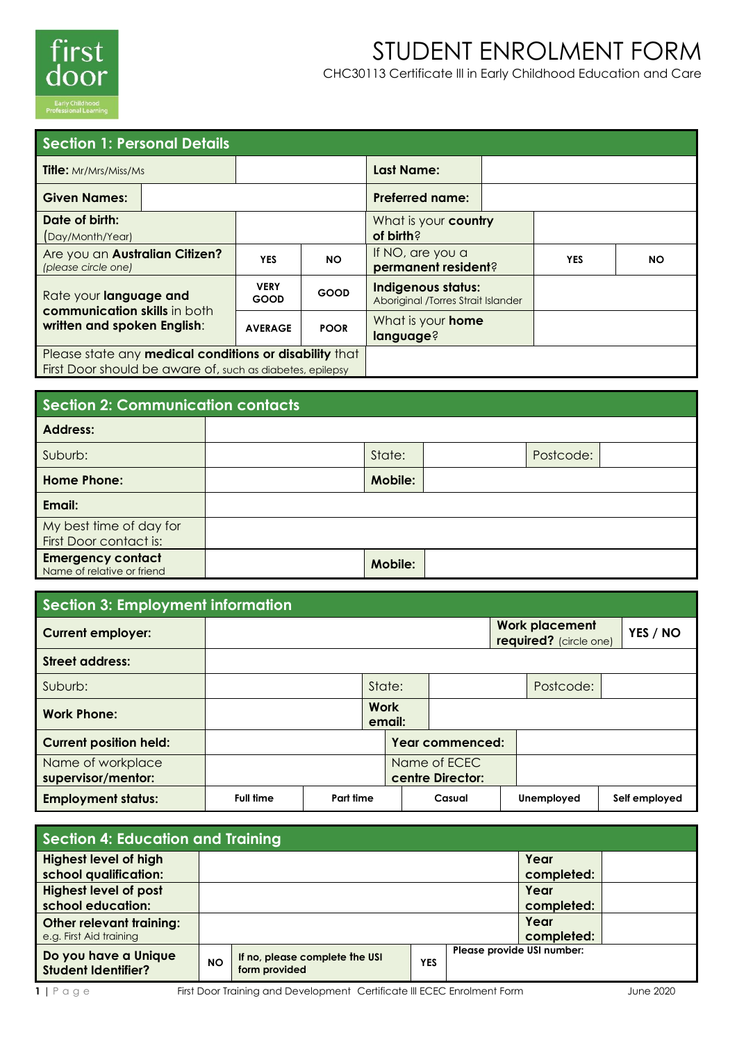

# STUDENT ENROLMENT FORM CHC30113 Certificate lll in Early Childhood Education and Care

**Section 1: Personal Details Title:** Mr/Mrs/Miss/Ms **Last Name: Given Names: Preferred name: Date of birth:** (Day/Month/Year) What is your **country of birth**? Are you an **Australian Citizen?** *(please circle one)* **YES NO** If NO, are you a **permanent resident**? **YES NO** Rate your **language and communication skills** in both **written and spoken English**: **VERY GOOD GOOD Indigenous status:** Aboriginal /Torres Strait Islander **AVERAGE POOR** What is your **home language**? Please state any **medical conditions or disability** that First Door should be aware of, such as diabetes, epilepsy

# **Section 2: Communication contacts**

| <b>Address:</b>                                        |                |           |  |
|--------------------------------------------------------|----------------|-----------|--|
| Suburb:                                                | State:         | Postcode: |  |
| <b>Home Phone:</b>                                     | <b>Mobile:</b> |           |  |
| Email:                                                 |                |           |  |
| My best time of day for<br>First Door contact is:      |                |           |  |
| <b>Emergency contact</b><br>Name of relative or friend | <b>Mobile:</b> |           |  |

| <b>Section 3: Employment information</b> |                  |           |             |        |                                  |  |                                                 |  |               |
|------------------------------------------|------------------|-----------|-------------|--------|----------------------------------|--|-------------------------------------------------|--|---------------|
| <b>Current employer:</b>                 |                  |           |             |        |                                  |  | <b>Work placement</b><br>required? (circle one) |  | YES / NO      |
| <b>Street address:</b>                   |                  |           |             |        |                                  |  |                                                 |  |               |
| Suburb:                                  |                  |           | State:      |        |                                  |  | Postcode:                                       |  |               |
| <b>Work Phone:</b>                       |                  |           | <b>Work</b> | email: |                                  |  |                                                 |  |               |
| <b>Current position held:</b>            |                  |           |             |        | Year commenced:                  |  |                                                 |  |               |
| Name of workplace<br>supervisor/mentor:  |                  |           |             |        | Name of ECEC<br>centre Director: |  |                                                 |  |               |
| <b>Employment status:</b>                | <b>Full time</b> | Part time |             |        | Casual                           |  | Unemployed                                      |  | Self employed |

| <b>Section 4: Education and Training</b>              |           |                                                 |            |                            |                    |  |  |
|-------------------------------------------------------|-----------|-------------------------------------------------|------------|----------------------------|--------------------|--|--|
| <b>Highest level of high</b><br>school qualification: |           |                                                 |            | Year<br>completed:         |                    |  |  |
| <b>Highest level of post</b><br>school education:     |           |                                                 |            | Year<br>completed:         |                    |  |  |
| Other relevant training:<br>e.g. First Aid training   |           |                                                 |            |                            | Year<br>completed: |  |  |
| Do you have a Unique<br><b>Student Identifier?</b>    | <b>NO</b> | If no, please complete the USI<br>form provided | <b>YES</b> | Please provide USI number: |                    |  |  |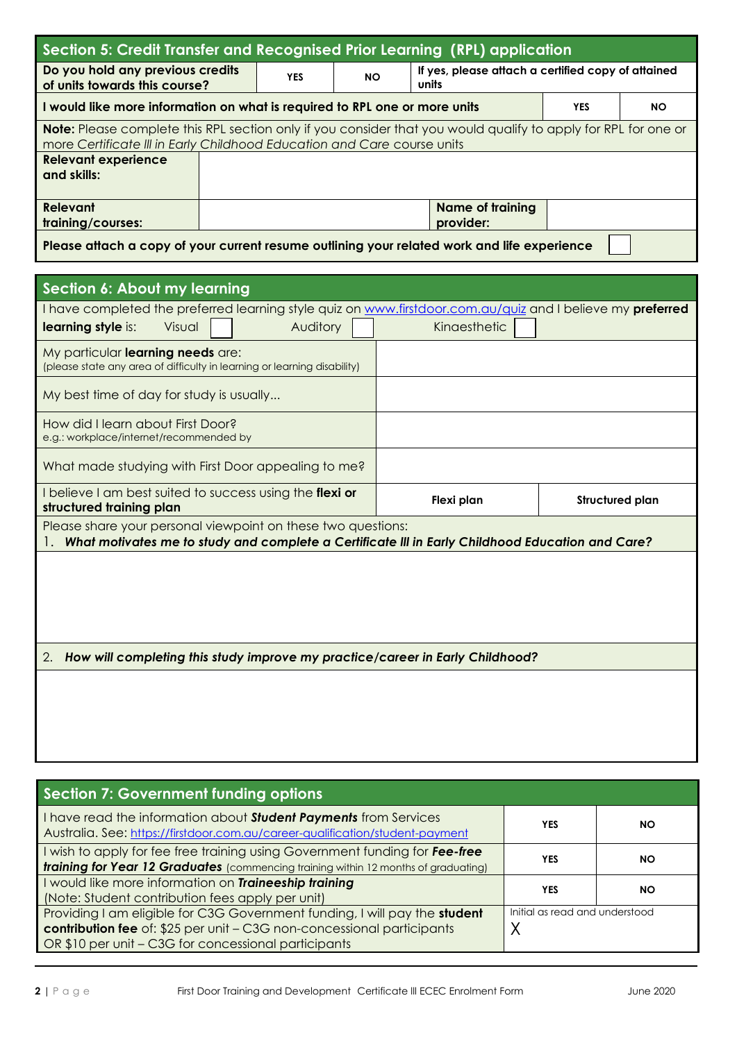| Section 5: Credit Transfer and Recognised Prior Learning (RPL) application                            |                                                                                                                                                                                                  |  |  |                                                    |  |  |  |  |
|-------------------------------------------------------------------------------------------------------|--------------------------------------------------------------------------------------------------------------------------------------------------------------------------------------------------|--|--|----------------------------------------------------|--|--|--|--|
| Do you hold any previous credits<br>of units towards this course?                                     | <b>YES</b><br><b>NO</b><br>units                                                                                                                                                                 |  |  | If yes, please attach a certified copy of attained |  |  |  |  |
| I would like more information on what is required to RPL one or more units<br><b>YES</b><br><b>NO</b> |                                                                                                                                                                                                  |  |  |                                                    |  |  |  |  |
|                                                                                                       | <b>Note:</b> Please complete this RPL section only if you consider that you would qualify to apply for RPL for one or<br>more Certificate III in Early Childhood Education and Care course units |  |  |                                                    |  |  |  |  |
| <b>Relevant experience</b><br>and skills:                                                             |                                                                                                                                                                                                  |  |  |                                                    |  |  |  |  |
| Relevant<br><b>Name of training</b><br>provider:<br>training/courses:                                 |                                                                                                                                                                                                  |  |  |                                                    |  |  |  |  |
| Please attach a copy of your current resume outlining your related work and life experience           |                                                                                                                                                                                                  |  |  |                                                    |  |  |  |  |

| <b>Section 6: About my learning</b>                                                                           |        |  |          |  |                                                                                                                   |                        |  |  |
|---------------------------------------------------------------------------------------------------------------|--------|--|----------|--|-------------------------------------------------------------------------------------------------------------------|------------------------|--|--|
|                                                                                                               |        |  |          |  | I have completed the preferred learning style quiz on www.firstdoor.com.au/quiz and I believe my <b>preferred</b> |                        |  |  |
| learning style is:                                                                                            | Visual |  | Auditory |  | Kingesthetic                                                                                                      |                        |  |  |
| My particular learning needs are:<br>(please state any area of difficulty in learning or learning disability) |        |  |          |  |                                                                                                                   |                        |  |  |
| My best time of day for study is usually                                                                      |        |  |          |  |                                                                                                                   |                        |  |  |
| How did I learn about First Door?<br>e.g.: workplace/internet/recommended by                                  |        |  |          |  |                                                                                                                   |                        |  |  |
| What made studying with First Door appealing to me?                                                           |        |  |          |  |                                                                                                                   |                        |  |  |
| I believe I am best suited to success using the <b>flexi or</b><br>structured training plan                   |        |  |          |  | Flexi plan                                                                                                        | <b>Structured plan</b> |  |  |
| Please share your personal viewpoint on these two questions:                                                  |        |  |          |  | What motivates me to study and complete a Certificate III in Early Childhood Education and Care?                  |                        |  |  |
|                                                                                                               |        |  |          |  |                                                                                                                   |                        |  |  |
|                                                                                                               |        |  |          |  |                                                                                                                   |                        |  |  |
|                                                                                                               |        |  |          |  |                                                                                                                   |                        |  |  |
| How will completing this study improve my practice/career in Early Childhood?<br>2.                           |        |  |          |  |                                                                                                                   |                        |  |  |
|                                                                                                               |        |  |          |  |                                                                                                                   |                        |  |  |
|                                                                                                               |        |  |          |  |                                                                                                                   |                        |  |  |
|                                                                                                               |        |  |          |  |                                                                                                                   |                        |  |  |

| <b>Section 7: Government funding options</b>                                                                                                                                                                 |                                |           |  |  |  |  |
|--------------------------------------------------------------------------------------------------------------------------------------------------------------------------------------------------------------|--------------------------------|-----------|--|--|--|--|
| I have read the information about <b>Student Payments</b> from Services<br>Australia. See: https://firstdoor.com.au/career-qualification/student-payment                                                     | YES                            | <b>NO</b> |  |  |  |  |
| wish to apply for fee free training using Government funding for Fee-free<br>training for Year 12 Graduates (commencing training within 12 months of graduating)                                             | YES                            | <b>NO</b> |  |  |  |  |
| I would like more information on Traineeship training<br>(Note: Student contribution fees apply per unit)                                                                                                    | YES                            | <b>NO</b> |  |  |  |  |
| Providing I am eligible for C3G Government funding, I will pay the student<br>contribution fee of: \$25 per unit - C3G non-concessional participants<br>OR \$10 per unit - C3G for concessional participants | Initial as read and understood |           |  |  |  |  |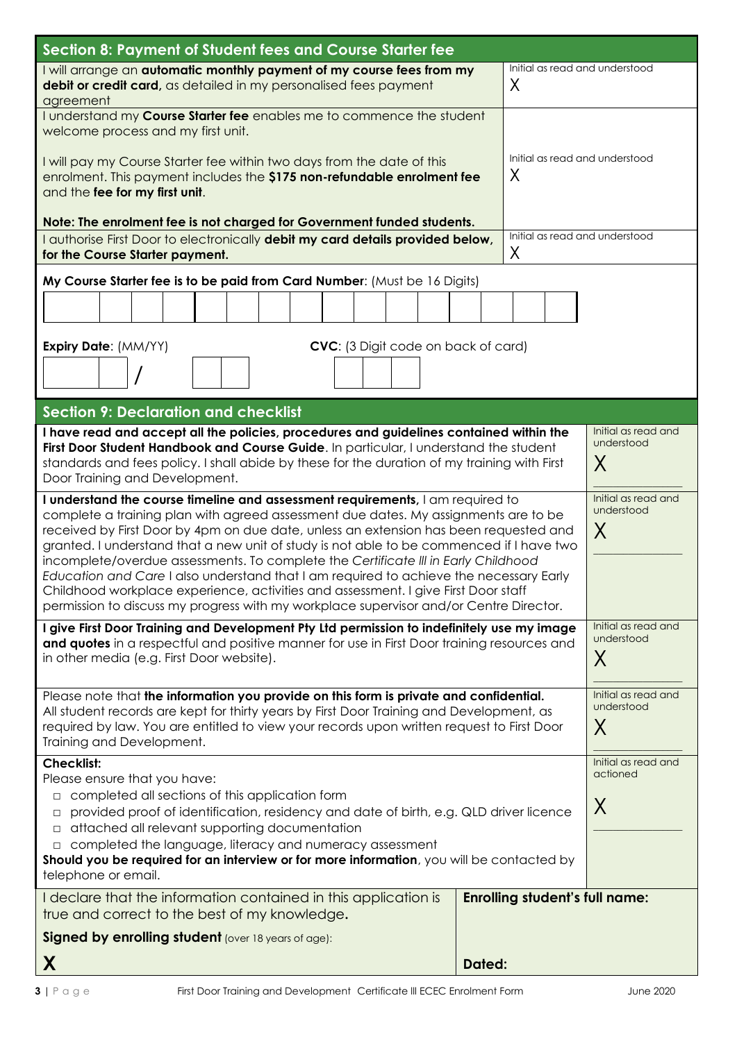| Section 8: Payment of Student fees and Course Starter fee                                                                                                                                                                                                                                                                                                                                                                                                                                                                                                                                                                                |                                        |                                        |                                 |
|------------------------------------------------------------------------------------------------------------------------------------------------------------------------------------------------------------------------------------------------------------------------------------------------------------------------------------------------------------------------------------------------------------------------------------------------------------------------------------------------------------------------------------------------------------------------------------------------------------------------------------------|----------------------------------------|----------------------------------------|---------------------------------|
| I will arrange an automatic monthly payment of my course fees from my<br>debit or credit card, as detailed in my personalised fees payment<br>agreement                                                                                                                                                                                                                                                                                                                                                                                                                                                                                  |                                        | Initial as read and understood<br>X    |                                 |
| I understand my Course Starter fee enables me to commence the student<br>welcome process and my first unit.                                                                                                                                                                                                                                                                                                                                                                                                                                                                                                                              |                                        |                                        |                                 |
| I will pay my Course Starter fee within two days from the date of this<br>enrolment. This payment includes the \$175 non-refundable enrolment fee<br>and the fee for my first unit.                                                                                                                                                                                                                                                                                                                                                                                                                                                      |                                        | Initial as read and understood<br>X    |                                 |
| Note: The enrolment fee is not charged for Government funded students.                                                                                                                                                                                                                                                                                                                                                                                                                                                                                                                                                                   |                                        | Initial as read and understood         |                                 |
| I authorise First Door to electronically debit my card details provided below,<br>for the Course Starter payment.                                                                                                                                                                                                                                                                                                                                                                                                                                                                                                                        |                                        | X                                      |                                 |
| My Course Starter fee is to be paid from Card Number: (Must be 16 Digits)                                                                                                                                                                                                                                                                                                                                                                                                                                                                                                                                                                |                                        |                                        |                                 |
|                                                                                                                                                                                                                                                                                                                                                                                                                                                                                                                                                                                                                                          |                                        |                                        |                                 |
|                                                                                                                                                                                                                                                                                                                                                                                                                                                                                                                                                                                                                                          |                                        |                                        |                                 |
| CVC: (3 Digit code on back of card)<br>Expiry Date: (MM/YY)                                                                                                                                                                                                                                                                                                                                                                                                                                                                                                                                                                              |                                        |                                        |                                 |
|                                                                                                                                                                                                                                                                                                                                                                                                                                                                                                                                                                                                                                          |                                        |                                        |                                 |
| <b>Section 9: Declaration and checklist</b>                                                                                                                                                                                                                                                                                                                                                                                                                                                                                                                                                                                              |                                        |                                        |                                 |
| I have read and accept all the policies, procedures and guidelines contained within the<br>First Door Student Handbook and Course Guide. In particular, I understand the student<br>standards and fees policy. I shall abide by these for the duration of my training with First<br>Door Training and Development.                                                                                                                                                                                                                                                                                                                       | Initial as read and<br>understood<br>X |                                        |                                 |
| I understand the course timeline and assessment requirements, I am required to                                                                                                                                                                                                                                                                                                                                                                                                                                                                                                                                                           |                                        |                                        | Initial as read and             |
| complete a training plan with agreed assessment due dates. My assignments are to be<br>received by First Door by 4pm on due date, unless an extension has been requested and<br>granted. I understand that a new unit of study is not able to be commenced if I have two<br>incomplete/overdue assessments. To complete the Certificate III in Early Childhood<br>Education and Care I also understand that I am required to achieve the necessary Early<br>Childhood workplace experience, activities and assessment. I give First Door staff<br>permission to discuss my progress with my workplace supervisor and/or Centre Director. |                                        | understood<br>X                        |                                 |
| I give First Door Training and Development Pty Ltd permission to indefinitely use my image<br>and quotes in a respectful and positive manner for use in First Door training resources and<br>in other media (e.g. First Door website).                                                                                                                                                                                                                                                                                                                                                                                                   |                                        | Initial as read and<br>understood<br>X |                                 |
| Please note that the information you provide on this form is private and confidential.<br>All student records are kept for thirty years by First Door Training and Development, as<br>required by law. You are entitled to view your records upon written request to First Door<br>Training and Development.                                                                                                                                                                                                                                                                                                                             |                                        | Initial as read and<br>understood<br>X |                                 |
| <b>Checklist:</b><br>Please ensure that you have:                                                                                                                                                                                                                                                                                                                                                                                                                                                                                                                                                                                        |                                        |                                        | Initial as read and<br>actioned |
| completed all sections of this application form<br>$\Box$                                                                                                                                                                                                                                                                                                                                                                                                                                                                                                                                                                                |                                        |                                        |                                 |
| provided proof of identification, residency and date of birth, e.g. QLD driver licence<br>$\Box$<br>attached all relevant supporting documentation<br>$\Box$                                                                                                                                                                                                                                                                                                                                                                                                                                                                             |                                        |                                        | X                               |
| completed the language, literacy and numeracy assessment<br>$\Box$<br>Should you be required for an interview or for more information, you will be contacted by<br>telephone or email.                                                                                                                                                                                                                                                                                                                                                                                                                                                   |                                        |                                        |                                 |
| I declare that the information contained in this application is<br>true and correct to the best of my knowledge.                                                                                                                                                                                                                                                                                                                                                                                                                                                                                                                         |                                        | <b>Enrolling student's full name:</b>  |                                 |
| Signed by enrolling student (over 18 years of age):                                                                                                                                                                                                                                                                                                                                                                                                                                                                                                                                                                                      |                                        |                                        |                                 |
| X                                                                                                                                                                                                                                                                                                                                                                                                                                                                                                                                                                                                                                        | Dated:                                 |                                        |                                 |